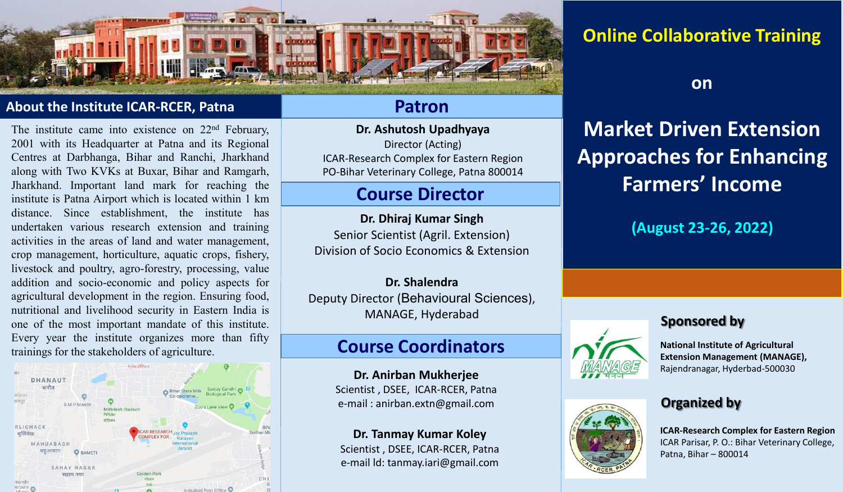

#### **About the Institute ICAR-RCER, Patna**

The institute came into existence on 22<sup>nd</sup> February, 2001 with its Headquarter at Patna and its Regional Centres at Darbhanga, Bihar and Ranchi, Jharkhand along with Two KVKs at Buxar, Bihar and Ramgarh, Jharkhand. Important land mark for reaching the institute is Patna Airport which is located within 1 km distance. Since establishment, the institute has undertaken various research extension and training activities in the areas of land and water management, crop management, horticulture, aquatic crops, fishery, livestock and poultry, agro-forestry, processing, value addition and socio-economic and policy aspects for agricultural development in the region. Ensuring food, nutritional and livelihood security in Eastern India is one of the most important mandate of this institute. Every year the institute organizes more than fifty trainings for the stakeholders of agriculture.



### **Patron**

**Dr. Ashutosh Upadhyaya**  Director (Acting) ICAR-Research Complex for Eastern Region PO-Bihar Veterinary College, Patna 800014

## **Course Director**

**Dr. Dhiraj Kumar Singh**  Senior Scientist (Agril. Extension) Division of Socio Economics & Extension

**Dr. Shalendra**  Deputy Director (Behavioural Sciences), MANAGE, Hyderabad

## **Course Coordinators**

**Dr. Anirban Mukherjee**  Scientist , DSEE, ICAR-RCER, Patna e-mail : anirban.extn@gmail.com

**Dr. Tanmay Kumar Koley**  Scientist , DSEE, ICAR-RCER, Patna e-mail ld: tanmay.iari@gmail.com

# **Online Collaborative Training**

**on** 

# **Market Driven Extension Approaches for Enhancing Farmers' Income**

**(August 23-26, 2022)** 

#### **Sponsored by**





**National Institute of Agricultural Extension Management (MANAGE),**  Rajendranagar, Hyderbad-500030

#### **Organized by**

**ICAR-Research Complex for Eastern Region**  ICAR Parisar, P. O.: Bihar Veterinary College, Patna, Bihar – 800014